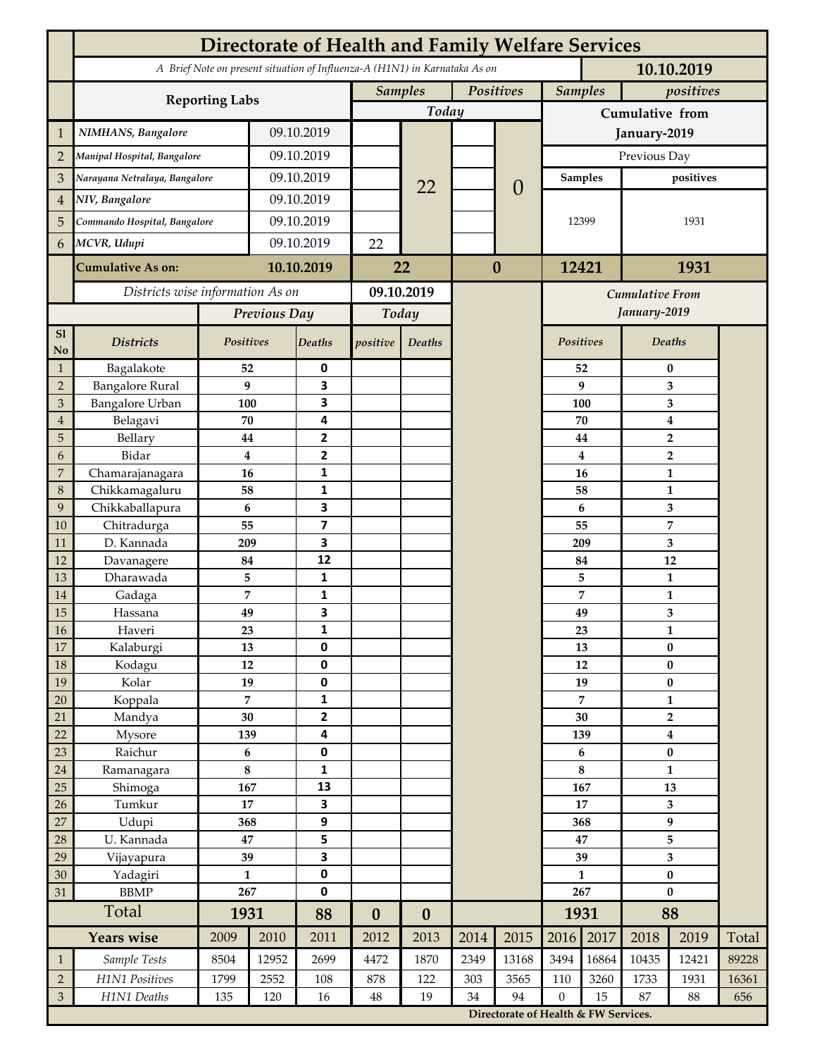|                             | <b>Directorate of Health and Family Welfare Services</b>                                 |                      |            |                              |                             |                  |          |                                      |                 |              |                                |                |       |  |
|-----------------------------|------------------------------------------------------------------------------------------|----------------------|------------|------------------------------|-----------------------------|------------------|----------|--------------------------------------|-----------------|--------------|--------------------------------|----------------|-------|--|
|                             | A Brief Note on present situation of Influenza-A (H1N1) in Karnataka As on<br>10.10.2019 |                      |            |                              |                             |                  |          |                                      |                 |              |                                |                |       |  |
|                             |                                                                                          |                      |            |                              | Positives<br><b>Samples</b> |                  |          | <b>Samples</b>                       |                 | positives    |                                |                |       |  |
|                             | <b>Reporting Labs</b>                                                                    |                      |            |                              |                             | Today            |          |                                      | Cumulative from |              |                                |                |       |  |
| $\mathbf{1}$                | NIMHANS, Bangalore                                                                       | 09.10.2019           |            |                              |                             |                  |          | January-2019                         |                 |              |                                |                |       |  |
| $\overline{2}$              | Manipal Hospital, Bangalore                                                              |                      |            | 09.10.2019                   |                             |                  |          |                                      | Previous Day    |              |                                |                |       |  |
| 3                           | Narayana Netralaya, Bangalore                                                            |                      |            | 09.10.2019                   |                             |                  |          |                                      | <b>Samples</b>  |              | positives                      |                |       |  |
| $\overline{4}$              | NIV, Bangalore                                                                           |                      |            | 09.10.2019                   |                             | 22               |          | $\theta$                             |                 |              |                                |                |       |  |
| 5                           | Commando Hospital, Bangalore                                                             |                      | 09.10.2019 |                              |                             |                  |          |                                      | 12399           |              | 1931                           |                |       |  |
| 6                           | MCVR, Udupi                                                                              |                      | 09.10.2019 |                              | 22                          |                  |          |                                      |                 |              |                                |                |       |  |
|                             |                                                                                          |                      |            |                              |                             |                  | $\bf{0}$ |                                      |                 |              |                                |                |       |  |
|                             | <b>Cumulative As on:</b>                                                                 | 10.10.2019           |            | 22                           |                             |                  |          | 12421                                |                 | 1931         |                                |                |       |  |
|                             | Districts wise information As on                                                         |                      |            | 09.10.2019                   |                             |                  |          | <b>Cumulative From</b>               |                 |              |                                |                |       |  |
|                             |                                                                                          | Previous Day         |            | Today                        |                             |                  |          |                                      |                 | January-2019 |                                |                |       |  |
| S1<br>No                    | <b>Districts</b>                                                                         | Positives            |            | Deaths                       | positive                    | Deaths           |          |                                      | Positives       |              |                                | <b>Deaths</b>  |       |  |
| $\mathbf{1}$                | Bagalakote                                                                               | 52                   |            | 0                            |                             |                  |          | 52                                   |                 | $\bf{0}$     |                                |                |       |  |
| $\overline{2}$              | <b>Bangalore Rural</b>                                                                   | 9                    |            | 3                            |                             |                  |          |                                      |                 | 9            | 3                              |                |       |  |
| 3                           | <b>Bangalore Urban</b>                                                                   | 100                  |            | 3                            |                             |                  |          |                                      |                 | 100          | 3                              |                |       |  |
| $\overline{4}$<br>5         | Belagavi<br>Bellary                                                                      | 70<br>44             |            | 4<br>2                       |                             |                  |          |                                      |                 | 70<br>44     | $\boldsymbol{4}$               |                |       |  |
| 6                           | Bidar                                                                                    | $\bf{4}$             |            | 2                            |                             |                  |          |                                      |                 | 4            | $\mathbf 2$<br>$\overline{2}$  |                |       |  |
| $\overline{7}$              | Chamarajanagara                                                                          | 16                   |            | 1                            |                             |                  |          |                                      |                 | 16           |                                | $\mathbf{1}$   |       |  |
| 8                           | Chikkamagaluru                                                                           | 58                   |            | 1                            |                             |                  |          |                                      |                 | 58           |                                | 1              |       |  |
| 9                           | Chikkaballapura                                                                          | 6                    |            | 3                            |                             |                  |          |                                      |                 | 6            |                                | 3              |       |  |
| 10                          | Chitradurga                                                                              | 55                   |            | $\overline{\mathbf{z}}$      |                             |                  |          |                                      |                 | 55           |                                | $\overline{7}$ |       |  |
| 11                          | D. Kannada                                                                               | 209                  |            | 3                            |                             |                  |          |                                      |                 | 209          | 3                              |                |       |  |
| 12<br>13                    | Davanagere<br>Dharawada                                                                  | 84<br>5              |            | 12<br>1                      |                             |                  |          |                                      |                 | 84<br>5      |                                | 12             |       |  |
| 14                          | Gadaga                                                                                   | 7                    |            | 1                            |                             |                  |          |                                      |                 | 7            | 1<br>$\mathbf{1}$              |                |       |  |
| 15                          | Hassana                                                                                  | 49                   |            | 3                            |                             |                  |          |                                      |                 | 49           |                                | 3              |       |  |
| 16                          | Haveri                                                                                   | 23                   |            | 1                            |                             |                  |          |                                      |                 | 23           | 1                              |                |       |  |
| 17                          | Kalaburgi                                                                                | 13                   |            | 0                            |                             |                  |          |                                      |                 | 13           |                                | $\pmb{0}$      |       |  |
| 18                          | Kodagu                                                                                   | $12\,$               |            | 0                            |                             |                  |          |                                      |                 | 12           |                                | $\pmb{0}$      |       |  |
| 19                          | Kolar                                                                                    | 19                   |            | 0                            |                             |                  |          |                                      |                 | 19           |                                | $\bf{0}$       |       |  |
| 20                          | Koppala                                                                                  | $\overline{7}$<br>30 |            | 1<br>$\overline{\mathbf{2}}$ |                             |                  |          |                                      | 7<br>30         |              | $\mathbf{1}$<br>$\overline{2}$ |                |       |  |
| 21<br>22                    | Mandya<br>Mysore                                                                         | 139                  |            | 4                            |                             |                  |          |                                      |                 | 139          | $\boldsymbol{4}$               |                |       |  |
| 23                          | Raichur                                                                                  | $\bf 6$              |            | 0                            |                             |                  |          |                                      |                 | 6            | $\pmb{0}$                      |                |       |  |
| 24                          | Ramanagara                                                                               | $\bf 8$              |            | 1                            |                             |                  |          |                                      |                 | 8            |                                | $\mathbf{1}$   |       |  |
| 25                          | Shimoga                                                                                  | 167                  |            | 13                           |                             |                  |          |                                      |                 | 167          |                                | 13             |       |  |
| 26                          | Tumkur                                                                                   | 17                   |            | 3                            |                             |                  |          |                                      | 17              |              | 3                              |                |       |  |
| 27                          | Udupi                                                                                    | 368                  |            | 9                            |                             |                  |          |                                      | 368             |              | $\boldsymbol{9}$               |                |       |  |
| 28                          | U. Kannada                                                                               | 47                   |            | 5                            |                             |                  |          |                                      | 47<br>39        |              | 5                              |                |       |  |
| 29<br>30                    | Vijayapura<br>Yadagiri                                                                   | 39<br>$\mathbf{1}$   |            | 3<br>0                       |                             |                  |          |                                      | $\mathbf{1}$    |              | 3<br>$\pmb{0}$                 |                |       |  |
| 31                          | <b>BBMP</b>                                                                              | 267                  |            | 0                            |                             |                  |          |                                      | 267             |              | $\bf{0}$                       |                |       |  |
|                             | Total                                                                                    | 1931                 |            | 88                           | $\boldsymbol{0}$            | $\boldsymbol{0}$ |          |                                      | 1931            |              | 88                             |                |       |  |
|                             | <b>Years wise</b>                                                                        | 2009                 | 2010       | 2011                         | 2012                        | 2013             | 2014     | 2015                                 | 2016            | 2017         | 2018                           | 2019           | Total |  |
| $\mathbf{1}$                | Sample Tests                                                                             | 8504                 | 12952      | 2699                         | 4472                        | 1870             | 2349     | 13168                                | 3494            | 16864        | 10435                          | 12421          | 89228 |  |
| $\sqrt{2}$                  | H1N1 Positives                                                                           | 1799                 | 2552       | 108                          | 878                         | 122              | 303      | 3565                                 | 110             | 3260         | 1733                           | 1931           | 16361 |  |
| $\ensuremath{\mathfrak{Z}}$ | H1N1 Deaths                                                                              | 135                  | 120        | 16                           | $\bf 48$                    | 19               | 34       | 94                                   | $\mathbf{0}$    | 15           | 87                             | 88             | 656   |  |
|                             |                                                                                          |                      |            |                              |                             |                  |          | Directorate of Health & FW Services. |                 |              |                                |                |       |  |